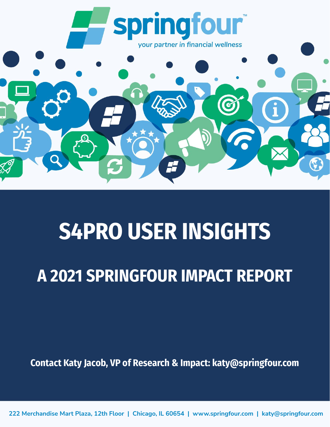

# **S4PRO USER INSIGHTS**

# **A 2021 SPRINGFOUR IMPACT REPORT**

**Contact Katy Jacob, VP of Research & Impact: katy@springfour.com**

**222 Merchandise Mart Plaza, 12th Floor | Chicago, IL 60654 | www.springfour.com | katy@springfour.com**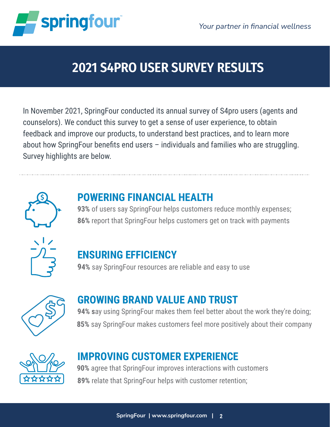



# **2021 S4PRO USER SURVEY RESULTS**

In November 2021, SpringFour conducted its annual survey of S4pro users (agents and counselors). We conduct this survey to get a sense of user experience, to obtain feedback and improve our products, to understand best practices, and to learn more about how SpringFour benefits end users – individuals and families who are struggling. Survey highlights are below.



#### **POWERING FINANCIAL HEALTH**

**93%** of users say SpringFour helps customers reduce monthly expenses; **86%** report that SpringFour helps customers get on track with payments



#### **ENSURING EFFICIENCY**

**94%** say SpringFour resources are reliable and easy to use



#### **GROWING BRAND VALUE AND TRUST**

**94% s**ay using SpringFour makes them feel better about the work they're doing; **85%** say SpringFour makes customers feel more positively about their company



#### **IMPROVING CUSTOMER EXPERIENCE**

**90%** agree that SpringFour improves interactions with customers **89%** relate that SpringFour helps with customer retention;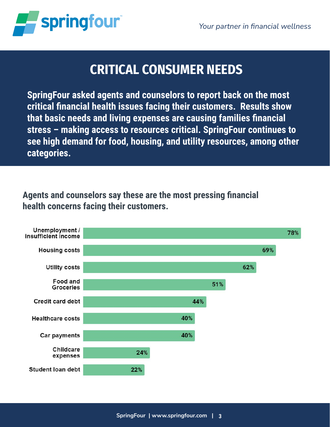

### **CRITICAL CONSUMER NEEDS**

**SpringFour asked agents and counselors to report back on the most critical financial health issues facing their customers. Results show that basic needs and living expenses are causing families financial stress – making access to resources critical. SpringFour continues to see high demand for food, housing, and utility resources, among other categories.**

#### **Agents and counselors say these are the most pressing financial health concerns facing their customers.**